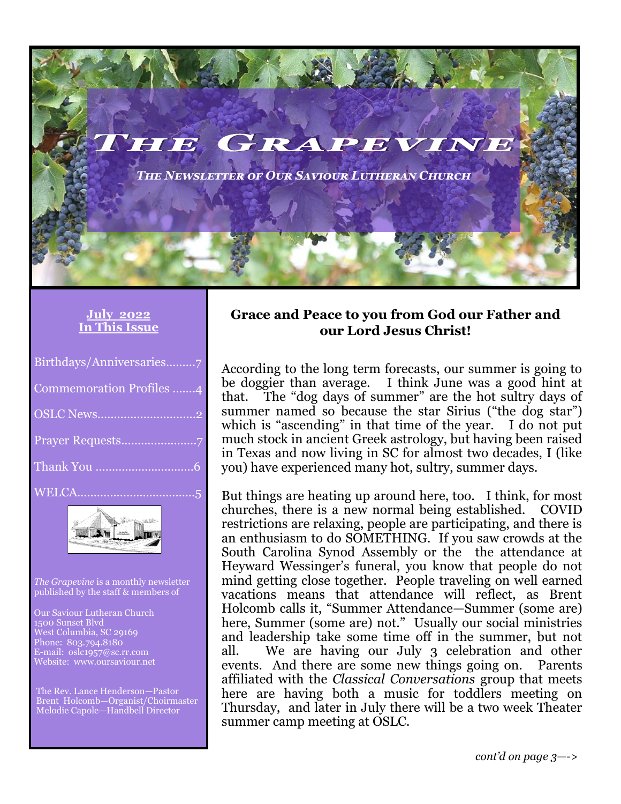*The Newsletter of Our Saviour Lutheran Church*

#### **July 2022 In This Issue**

| Birthdays/Anniversaries7 |
|--------------------------|
| Commemoration Profiles 4 |
|                          |
|                          |
|                          |
|                          |



*The Grapevine* is a monthly newsletter published by the staff & members of

Our Saviour Lutheran Church 1500 Sunset Blvd West Columbia, SC 29169 Phone: 803.794.8180 E-mail: oslc1957@sc.rr.com Website: www.oursaviour.net

The Rev. Lance Henderson—Pastor Brent Holcomb—Organist/Choirmaster Melodie Capole—Handbell Director

#### **Grace and Peace to you from God our Father and our Lord Jesus Christ!**

According to the long term forecasts, our summer is going to be doggier than average. I think June was a good hint at that. The "dog days of summer" are the hot sultry days of summer named so because the star Sirius ("the dog star") which is "ascending" in that time of the year. I do not put much stock in ancient Greek astrology, but having been raised in Texas and now living in SC for almost two decades, I (like you) have experienced many hot, sultry, summer days.

But things are heating up around here, too. I think, for most churches, there is a new normal being established. COVID restrictions are relaxing, people are participating, and there is an enthusiasm to do SOMETHING. If you saw crowds at the South Carolina Synod Assembly or the the attendance at Heyward Wessinger's funeral, you know that people do not mind getting close together. People traveling on well earned vacations means that attendance will reflect, as Brent Holcomb calls it, "Summer Attendance—Summer (some are) here, Summer (some are) not." Usually our social ministries and leadership take some time off in the summer, but not all. We are having our July 3 celebration and other events. And there are some new things going on. Parents affiliated with the *Classical Conversations* group that meets here are having both a music for toddlers meeting on Thursday, and later in July there will be a two week Theater summer camp meeting at OSLC.

*cont'd on page 3—->*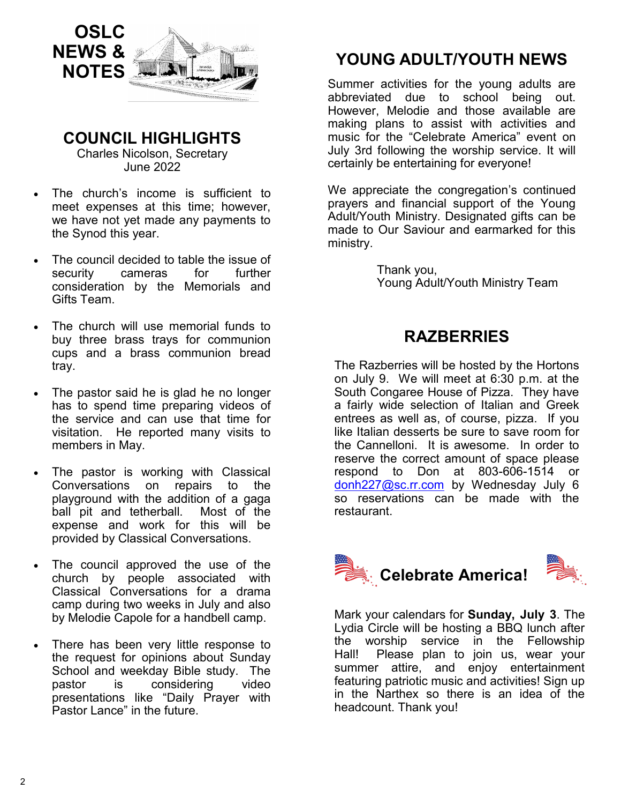

**COUNCIL HIGHLIGHTS** 

Charles Nicolson, Secretary June 2022

- The church's income is sufficient to meet expenses at this time; however, we have not yet made any payments to the Synod this year.
- The council decided to table the issue of security cameras for further consideration by the Memorials and Gifts Team.
- The church will use memorial funds to buy three brass trays for communion cups and a brass communion bread tray.
- The pastor said he is glad he no longer has to spend time preparing videos of the service and can use that time for visitation. He reported many visits to members in May.
- The pastor is working with Classical Conversations on repairs to the playground with the addition of a gaga ball pit and tetherball. Most of the expense and work for this will be provided by Classical Conversations.
- The council approved the use of the church by people associated with Classical Conversations for a drama camp during two weeks in July and also by Melodie Capole for a handbell camp.
- There has been very little response to the request for opinions about Sunday School and weekday Bible study. The pastor is considering video presentations like "Daily Prayer with Pastor Lance" in the future.

# **YOUNG ADULT/YOUTH NEWS**

Summer activities for the young adults are abbreviated due to school being out. However, Melodie and those available are making plans to assist with activities and music for the "Celebrate America" event on July 3rd following the worship service. It will certainly be entertaining for everyone!

We appreciate the congregation's continued prayers and financial support of the Young Adult/Youth Ministry. Designated gifts can be made to Our Saviour and earmarked for this ministry.

> Thank you, Young Adult/Youth Ministry Team

## **RAZBERRIES**

The Razberries will be hosted by the Hortons on July 9. We will meet at 6:30 p.m. at the South Congaree House of Pizza. They have a fairly wide selection of Italian and Greek entrees as well as, of course, pizza. If you like Italian desserts be sure to save room for the Cannelloni. It is awesome. In order to reserve the correct amount of space please respond to Don at 803-606-1514 or [donh227@sc.rr.com](mailto:donh227@sc.rr.com) by Wednesday July 6 so reservations can be made with the restaurant.





Mark your calendars for **Sunday, July 3**. The Lydia Circle will be hosting a BBQ lunch after the worship service in the Fellowship Hall! Please plan to join us, wear your summer attire, and enjoy entertainment featuring patriotic music and activities! Sign up in the Narthex so there is an idea of the headcount. Thank you!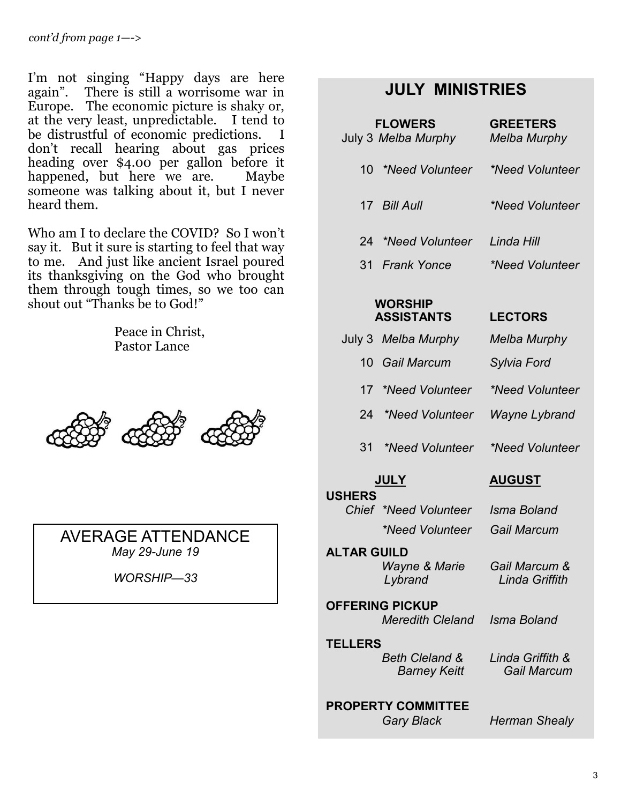I'm not singing "Happy days are here again". There is still a worrisome war in Europe. The economic picture is shaky or, at the very least, unpredictable. I tend to be distrustful of economic predictions. I don't recall hearing about gas prices heading over \$4.00 per gallon before it happened, but here we are. Maybe someone was talking about it, but I never heard them.

Who am I to declare the COVID? So I won't say it. But it sure is starting to feel that way to me. And just like ancient Israel poured its thanksgiving on the God who brought them through tough times, so we too can shout out "Thanks be to God!"

> Peace in Christ, Pastor Lance



AVERAGE ATTENDANCE *May 29-June 19*

*WORSHIP—33*

#### **JULY MINISTRIES**

| <b>FLOWERS</b><br>July 3 Melba Murphy | <b>GREETERS</b><br>Melba Murphy |
|---------------------------------------|---------------------------------|
| *Need Volunteer *<br>10               | *Need Volunteer                 |
| 17 Bill Aull                          | *Need Volunteer                 |
| 24 *Need Volunteer                    | Linda Hill                      |
| 31 Frank Yonce                        | *Need Volunteer                 |
| <b>WORSHIP</b>                        |                                 |

#### **WORSHIP ASSISTANTS LECTORS**

#### July 3 *Melba Murphy Melba Murphy*

- 10 *Gail Marcum Sylvia Ford*
- 17 *\*Need Volunteer \*Need Volunteer*
- 24 *\*Need Volunteer Wayne Lybrand*
- 31 *\*Need Volunteer \*Need Volunteer*

#### **JULY AUGUST**

 **USHERS** *Chief \*Need Volunteer Isma Boland \*Need Volunteer Gail Marcum*

 **ALTAR GUILD**  *Wayne & Marie Lybrand*

*Gail Marcum & Linda Griffith*

 **OFFERING PICKUP**  *Meredith Cleland Isma Boland*

 **TELLERS**  *Beth Cleland & Barney Keitt*

 **PROPERTY COMMITTEE**

*Linda Griffith & Gail Marcum*

 *Gary Black Herman Shealy*

3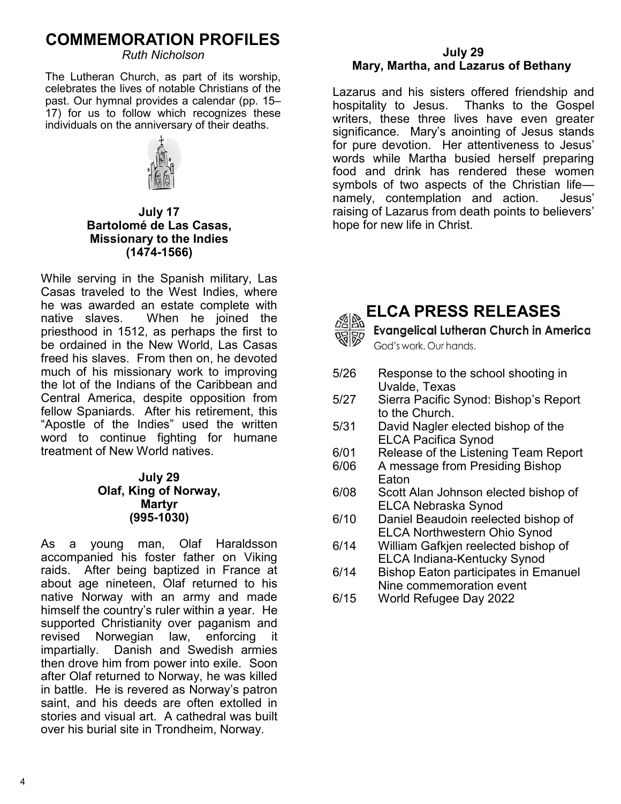# **COMMEMORATION PROFILES**

*Ruth Nicholson*

The Lutheran Church, as part of its worship, celebrates the lives of notable Christians of the past. Our hymnal provides a calendar (pp. 15– 17) for us to follow which recognizes these individuals on the anniversary of their deaths.



**July 17 Bartolomé de Las Casas, Missionary to the Indies (1474-1566)**

While serving in the Spanish military, Las Casas traveled to the West Indies, where he was awarded an estate complete with native slaves. When he joined the priesthood in 1512, as perhaps the first to be ordained in the New World, Las Casas freed his slaves. From then on, he devoted much of his missionary work to improving the lot of the Indians of the Caribbean and Central America, despite opposition from fellow Spaniards. After his retirement, this "Apostle of the Indies" used the written word to continue fighting for humane treatment of New World natives.

#### **July 29 Olaf, King of Norway, Martyr (995-1030)**

As a young man, Olaf Haraldsson accompanied his foster father on Viking raids. After being baptized in France at about age nineteen, Olaf returned to his native Norway with an army and made himself the country's ruler within a year. He supported Christianity over paganism and revised Norwegian law, enforcing it impartially. Danish and Swedish armies then drove him from power into exile. Soon after Olaf returned to Norway, he was killed in battle. He is revered as Norway's patron saint, and his deeds are often extolled in stories and visual art. A cathedral was built over his burial site in Trondheim, Norway.

#### **July 29 Mary, Martha, and Lazarus of Bethany**

Lazarus and his sisters offered friendship and hospitality to Jesus. Thanks to the Gospel writers, these three lives have even greater significance. Mary's anointing of Jesus stands for pure devotion. Her attentiveness to Jesus' words while Martha busied herself preparing food and drink has rendered these women symbols of two aspects of the Christian life namely, contemplation and action. Jesus' raising of Lazarus from death points to believers' hope for new life in Christ.



## **ELCA PRESS RELEASES**

**Evangelical Lutheran Church in America** God's work. Our hands.

- 5/26 Response to the school shooting in Uvalde, Texas
- 5/27 Sierra Pacific Synod: Bishop's Report to the Church.
- 5/31 David Nagler elected bishop of the ELCA Pacifica Synod
- 6/01 Release of the Listening Team Report
- 6/06 A message from Presiding Bishop Eaton
- 6/08 Scott Alan Johnson elected bishop of ELCA Nebraska Synod
- 6/10 Daniel Beaudoin reelected bishop of ELCA Northwestern Ohio Synod
- 6/14 William Gafkjen reelected bishop of ELCA Indiana-Kentucky Synod
- 6/14 Bishop Eaton participates in Emanuel Nine commemoration event
- 6/15 World Refugee Day 2022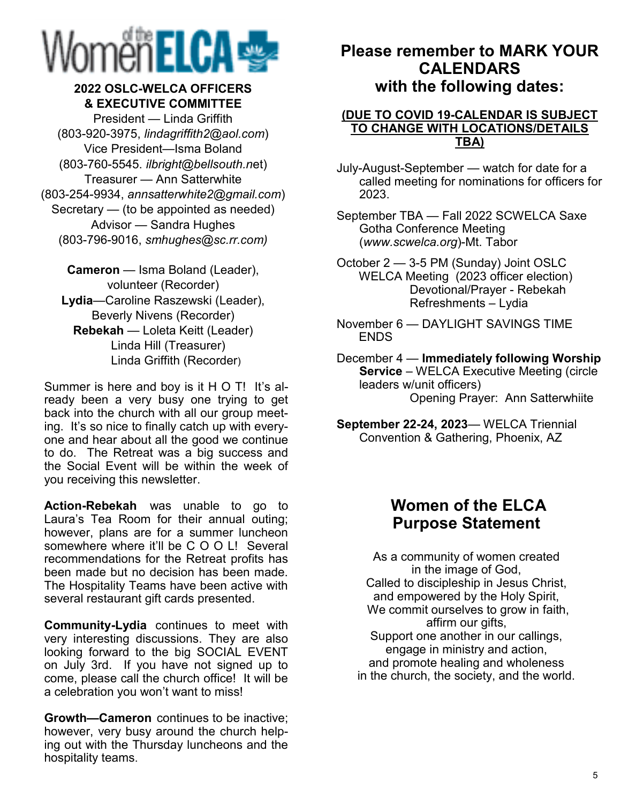# Womën ELCA

#### **2022 OSLC-WELCA OFFICERS & EXECUTIVE COMMITTEE**

President — Linda Griffith (803-920-3975, *lindagriffith2@aol.com*) Vice President—Isma Boland (803-760-5545. *ilbright@bellsouth.n*et) Treasurer — Ann Satterwhite (803-254-9934, *annsatterwhite2@gmail.com*) Secretary — (to be appointed as needed) Advisor — Sandra Hughes (803-796-9016, *smhughes@sc.rr.com)*

**Cameron** — Isma Boland (Leader), volunteer (Recorder) **Lydia**—Caroline Raszewski (Leader), Beverly Nivens (Recorder) **Rebekah** — Loleta Keitt (Leader) Linda Hill (Treasurer) Linda Griffith (Recorder)

Summer is here and boy is it H O T! It's already been a very busy one trying to get back into the church with all our group meeting. It's so nice to finally catch up with everyone and hear about all the good we continue to do. The Retreat was a big success and the Social Event will be within the week of you receiving this newsletter.

**Action-Rebekah** was unable to go to Laura's Tea Room for their annual outing; however, plans are for a summer luncheon somewhere where it'll be C O O L! Several recommendations for the Retreat profits has been made but no decision has been made. The Hospitality Teams have been active with several restaurant gift cards presented.

**Community-Lydia** continues to meet with very interesting discussions. They are also looking forward to the big SOCIAL EVENT on July 3rd. If you have not signed up to come, please call the church office! It will be a celebration you won't want to miss!

**Growth—Cameron** continues to be inactive; however, very busy around the church helping out with the Thursday luncheons and the hospitality teams.

## **Please remember to MARK YOUR CALENDARS with the following dates:**

#### **(DUE TO COVID 19-CALENDAR IS SUBJECT TO CHANGE WITH LOCATIONS/DETAILS TBA)**

- July-August-September watch for date for a called meeting for nominations for officers for 2023.
- September TBA Fall 2022 SCWELCA Saxe Gotha Conference Meeting (*www.scwelca.org*)-Mt. Tabor
- October 2 3-5 PM (Sunday) Joint OSLC WELCA Meeting (2023 officer election) Devotional/Prayer - Rebekah Refreshments – Lydia
- November 6 DAYLIGHT SAVINGS TIME **FNDS**
- December 4 **Immediately following Worship Service** – WELCA Executive Meeting (circle leaders w/unit officers) Opening Prayer: Ann Satterwhiite
- **September 22-24, 2023** WELCA Triennial Convention & Gathering, Phoenix, AZ

# **Women of the ELCA Purpose Statement**

As a community of women created in the image of God, Called to discipleship in Jesus Christ, and empowered by the Holy Spirit, We commit ourselves to grow in faith, affirm our gifts, Support one another in our callings, engage in ministry and action, and promote healing and wholeness in the church, the society, and the world.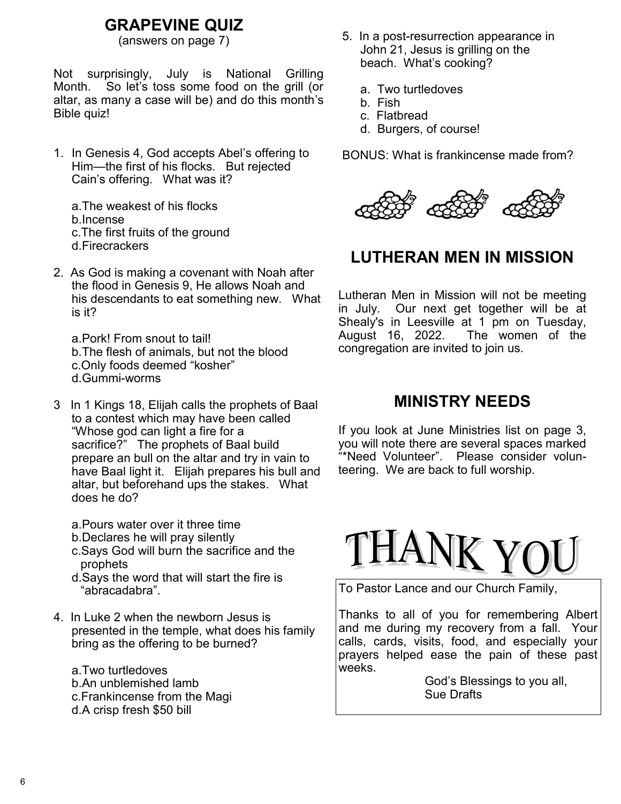# **GRAPEVINE QUIZ**

Not surprisingly, July is National Grilling Month. So let's toss some food on the grill (or altar, as many a case will be) and do this month's Bible quiz!

1. In Genesis 4, God accepts Abel's offering to Him—the first of his flocks. But rejected Cain's offering. What was it?

a.The weakest of his flocks b.Incense c.The first fruits of the ground d.Firecrackers

2. As God is making a covenant with Noah after the flood in Genesis 9, He allows Noah and his descendants to eat something new. What is it?

a.Pork! From snout to tail! b.The flesh of animals, but not the blood c.Only foods deemed "kosher" d.Gummi-worms

- 3 In 1 Kings 18, Elijah calls the prophets of Baal to a contest which may have been called "Whose god can light a fire for a sacrifice?" The prophets of Baal build prepare an bull on the altar and try in vain to have Baal light it. Elijah prepares his bull and altar, but beforehand ups the stakes. What does he do?
	- a.Pours water over it three time
	- b.Declares he will pray silently
	- c.Says God will burn the sacrifice and the prophets
	- d.Says the word that will start the fire is "abracadabra".
- 4. In Luke 2 when the newborn Jesus is presented in the temple, what does his family bring as the offering to be burned?

a.Two turtledoves b.An unblemished lamb c.Frankincense from the Magi d.A crisp fresh \$50 bill

- (answers on page 7) 5. In a post-resurrection appearance in John 21, Jesus is grilling on the beach. What's cooking?
	- a. Two turtledoves
	- b. Fish
	- c. Flatbread
	- d. Burgers, of course!

BONUS: What is frankincense made from?



# **LUTHERAN MEN IN MISSION**

Lutheran Men in Mission will not be meeting in July. Our next get together will be at Shealy's in Leesville at 1 pm on Tuesday, August 16, 2022. The women of the congregation are invited to join us.

#### **MINISTRY NEEDS**

If you look at June Ministries list on page 3, you will note there are several spaces marked "\*Need Volunteer". Please consider volunteering. We are back to full worship.



To Pastor Lance and our Church Family,

Thanks to all of you for remembering Albert and me during my recovery from a fall. Your calls, cards, visits, food, and especially your prayers helped ease the pain of these past weeks.

> God's Blessings to you all, Sue Drafts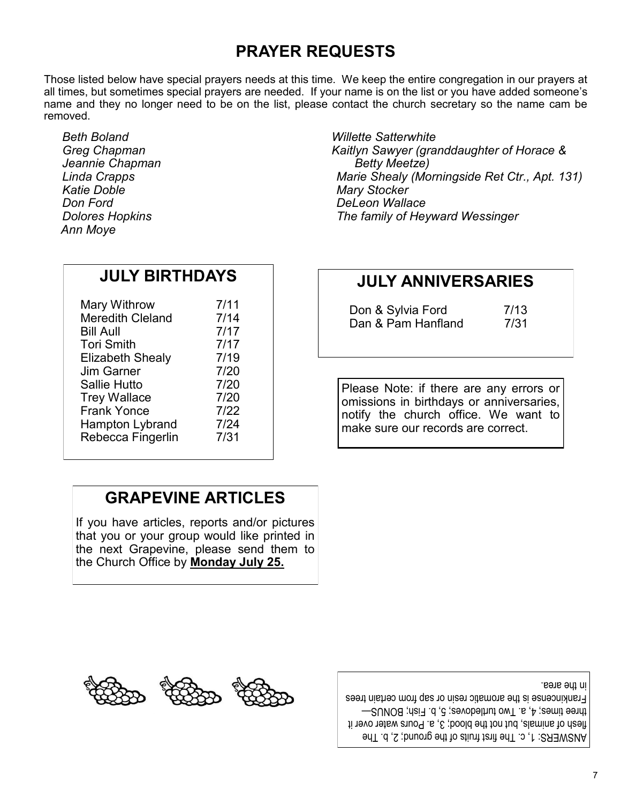# **PRAYER REQUESTS**

Those listed below have special prayers needs at this time. We keep the entire congregation in our prayers at all times, but sometimes special prayers are needed. If your name is on the list or you have added someone's name and they no longer need to be on the list, please contact the church secretary so the name cam be removed.

*Beth Boland Greg Chapman Jeannie Chapman Linda Crapps Katie Doble Don Ford Dolores Hopkins Ann Moye*

| 7/11 |
|------|
| 7/14 |
| 7/17 |
| 7/17 |
| 7/19 |
| 7/20 |
| 7/20 |
| 7/20 |
| 7/22 |
| 7/24 |
| 7/31 |
|      |

**JULY BIRTHDAYS**

*Willette Satterwhite Kaitlyn Sawyer (granddaughter of Horace & Betty Meetze) Marie Shealy (Morningside Ret Ctr., Apt. 131) Mary Stocker DeLeon Wallace The family of Heyward Wessinger*

# **JULY ANNIVERSARIES**

| Don & Sylvia Ford  | 7/13 |
|--------------------|------|
| Dan & Pam Hanfland | 7/31 |

Please Note: if there are any errors or omissions in birthdays or anniversaries, notify the church office. We want to make sure our records are correct.

# **GRAPEVINE ARTICLES**

If you have articles, reports and/or pictures that you or your group would like printed in the next Grapevine, please send them to the Church Office by **Monday July 25.**



ANSWERS: 1, c. The first fruits of the ground; 2, b. The flesh of animals, but not the blood; 3, a. Pours water over it three times; 4, a. Two turtledoves; 5, b. Fish; BONUS— Frankincense is the aromatic resin or sap from certain trees in the area.